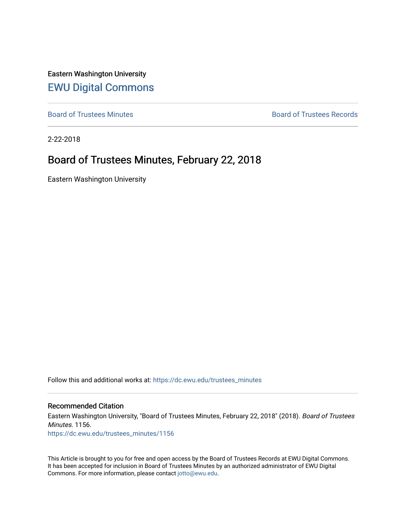Eastern Washington University [EWU Digital Commons](https://dc.ewu.edu/)

[Board of Trustees Minutes](https://dc.ewu.edu/trustees_minutes) **Board of Trustees Records Board of Trustees Records** 

2-22-2018

# Board of Trustees Minutes, February 22, 2018

Eastern Washington University

Follow this and additional works at: [https://dc.ewu.edu/trustees\\_minutes](https://dc.ewu.edu/trustees_minutes?utm_source=dc.ewu.edu%2Ftrustees_minutes%2F1156&utm_medium=PDF&utm_campaign=PDFCoverPages) 

#### Recommended Citation

Eastern Washington University, "Board of Trustees Minutes, February 22, 2018" (2018). Board of Trustees Minutes. 1156.

[https://dc.ewu.edu/trustees\\_minutes/1156](https://dc.ewu.edu/trustees_minutes/1156?utm_source=dc.ewu.edu%2Ftrustees_minutes%2F1156&utm_medium=PDF&utm_campaign=PDFCoverPages) 

This Article is brought to you for free and open access by the Board of Trustees Records at EWU Digital Commons. It has been accepted for inclusion in Board of Trustees Minutes by an authorized administrator of EWU Digital Commons. For more information, please contact [jotto@ewu.edu.](mailto:jotto@ewu.edu)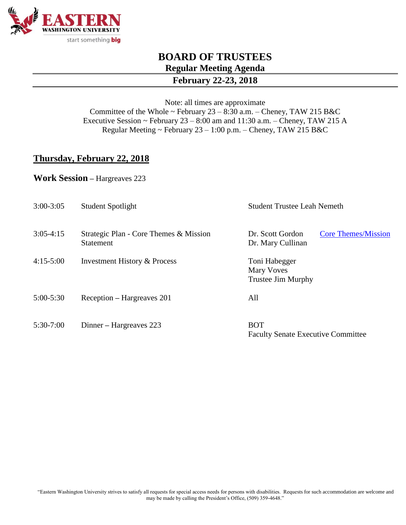

# **BOARD OF TRUSTEES Regular Meeting Agenda**

#### **February 22-23, 2018**

Note: all times are approximate Committee of the Whole ~ February 23 – 8:30 a.m. – Cheney, TAW 215 B&C Executive Session ~ February  $23 - 8:00$  am and  $11:30$  a.m. – Cheney, TAW 215 A Regular Meeting ~ February 23 – 1:00 p.m. – Cheney, TAW 215 B&C

### **Thursday, February 22, 2018**

**Work Session –** Hargreaves 223

| $3:00-3:05$   | <b>Student Spotlight</b>                                   | <b>Student Trustee Leah Nemeth</b>                                  |
|---------------|------------------------------------------------------------|---------------------------------------------------------------------|
| $3:05-4:15$   | Strategic Plan - Core Themes & Mission<br><b>Statement</b> | Dr. Scott Gordon<br><b>Core Themes/Mission</b><br>Dr. Mary Cullinan |
| $4:15-5:00$   | <b>Investment History &amp; Process</b>                    | Toni Habegger<br>Mary Voves<br><b>Trustee Jim Murphy</b>            |
| $5:00 - 5:30$ | Reception – Hargreaves 201                                 | All                                                                 |
| $5:30-7:00$   | Dinner – Hargreaves 223                                    | <b>BOT</b><br><b>Faculty Senate Executive Committee</b>             |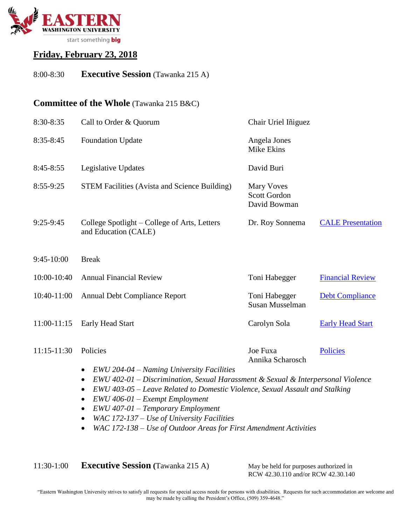

# **Friday, February 23, 2018**

## 8:00-8:30 **Executive Session** (Tawanka 215 A)

#### **Committee of the Whole** (Tawanka 215 B&C)

| 8:30-8:35     | Call to Order & Quorum                                                                                                                                                                                                                                                                                         | Chair Uriel Iñiguez                               |                          |
|---------------|----------------------------------------------------------------------------------------------------------------------------------------------------------------------------------------------------------------------------------------------------------------------------------------------------------------|---------------------------------------------------|--------------------------|
| $8:35-8:45$   | <b>Foundation Update</b>                                                                                                                                                                                                                                                                                       | Angela Jones<br><b>Mike Ekins</b>                 |                          |
| $8:45-8:55$   | Legislative Updates                                                                                                                                                                                                                                                                                            | David Buri                                        |                          |
| 8:55-9:25     | <b>STEM Facilities (Avista and Science Building)</b>                                                                                                                                                                                                                                                           | <b>Mary Voves</b><br>Scott Gordon<br>David Bowman |                          |
| $9:25-9:45$   | College Spotlight – College of Arts, Letters<br>and Education (CALE)                                                                                                                                                                                                                                           | Dr. Roy Sonnema                                   | <b>CALE Presentation</b> |
| $9:45-10:00$  | <b>Break</b>                                                                                                                                                                                                                                                                                                   |                                                   |                          |
| 10:00-10:40   | <b>Annual Financial Review</b>                                                                                                                                                                                                                                                                                 | Toni Habegger                                     | <b>Financial Review</b>  |
| 10:40-11:00   | <b>Annual Debt Compliance Report</b>                                                                                                                                                                                                                                                                           | Toni Habegger<br>Susan Musselman                  | <b>Debt Compliance</b>   |
| 11:00-11:15   | <b>Early Head Start</b>                                                                                                                                                                                                                                                                                        | Carolyn Sola                                      | <b>Early Head Start</b>  |
| $11:15-11:30$ | Policies                                                                                                                                                                                                                                                                                                       | Joe Fuxa<br>Annika Scharosch                      | <b>Policies</b>          |
|               | EWU 204-04 - Naming University Facilities<br>$\bullet$<br>EWU 402-01 - Discrimination, Sexual Harassment & Sexual & Interpersonal Violence<br>EWU 403-05 – Leave Related to Domestic Violence, Sexual Assault and Stalking<br>$\bullet$<br>EWU 406-01 - Exempt Employment<br>EWU 407-01 - Temporary Employment |                                                   |                          |

- *WAC 172-137 – Use of University Facilities*
- *WAC 172-138 – Use of Outdoor Areas for First Amendment Activities*

11:30-1:00 **Executive Session (**Tawanka 215 A) May be held for purposes authorized in

RCW 42.30.110 and/or RCW 42.30.140

"Eastern Washington University strives to satisfy all requests for special access needs for persons with disabilities. Requests for such accommodation are welcome and may be made by calling the President's Office, (509) 359-4648."